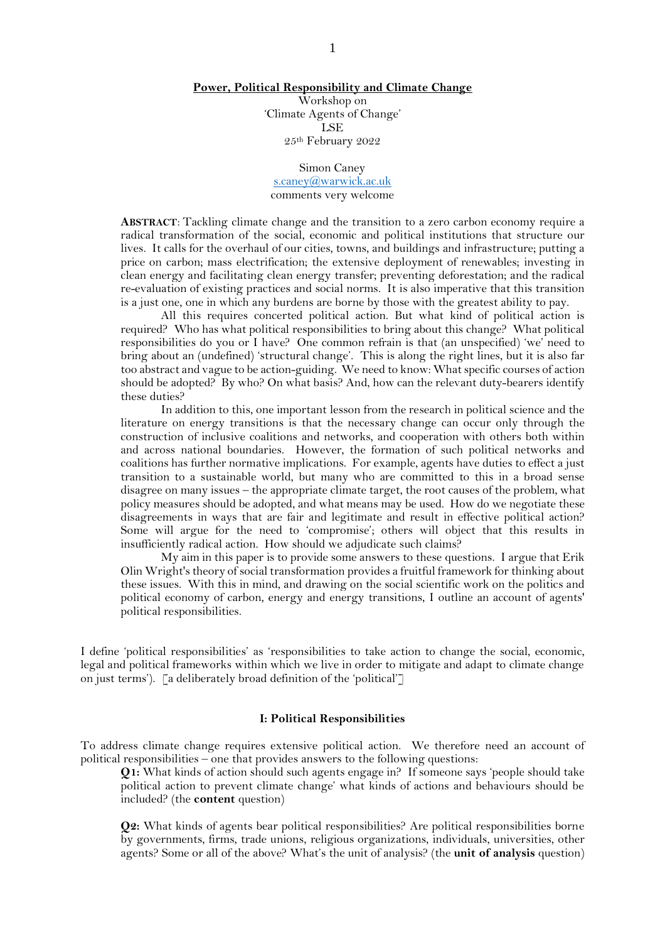#### **Power, Political Responsibility and Climate Change**

Workshop on 'Climate Agents of Change' LSE 25th February 2022

Simon Caney [s.caney@warwick.ac.uk](mailto:s.caney@warwick.ac.uk) comments very welcome

**ABSTRACT**: Tackling climate change and the transition to a zero carbon economy require a radical transformation of the social, economic and political institutions that structure our lives. It calls for the overhaul of our cities, towns, and buildings and infrastructure; putting a price on carbon; mass electrification; the extensive deployment of renewables; investing in clean energy and facilitating clean energy transfer; preventing deforestation; and the radical re-evaluation of existing practices and social norms. It is also imperative that this transition is a just one, one in which any burdens are borne by those with the greatest ability to pay.

All this requires concerted political action. But what kind of political action is required? Who has what political responsibilities to bring about this change? What political responsibilities do you or I have? One common refrain is that (an unspecified) 'we' need to bring about an (undefined) 'structural change'. This is along the right lines, but it is also far too abstract and vague to be action-guiding. We need to know: What specific courses of action should be adopted? By who? On what basis? And, how can the relevant duty-bearers identify these duties?

In addition to this, one important lesson from the research in political science and the literature on energy transitions is that the necessary change can occur only through the construction of inclusive coalitions and networks, and cooperation with others both within and across national boundaries. However, the formation of such political networks and coalitions has further normative implications. For example, agents have duties to effect a just transition to a sustainable world, but many who are committed to this in a broad sense disagree on many issues – the appropriate climate target, the root causes of the problem, what policy measures should be adopted, and what means may be used. How do we negotiate these disagreements in ways that are fair and legitimate and result in effective political action? Some will argue for the need to 'compromise'; others will object that this results in insufficiently radical action. How should we adjudicate such claims?

My aim in this paper is to provide some answers to these questions. I argue that Erik Olin Wright'stheory of social transformation provides a fruitful framework for thinking about these issues. With this in mind, and drawing on the social scientific work on the politics and political economy of carbon, energy and energy transitions, I outline an account of agents' political responsibilities.

I define 'political responsibilities' as 'responsibilities to take action to change the social, economic, legal and political frameworks within which we live in order to mitigate and adapt to climate change on just terms'). [a deliberately broad definition of the 'political']

#### **I: Political Responsibilities**

To address climate change requires extensive political action. We therefore need an account of political responsibilities – one that provides answers to the following questions:

**Q1:** What kinds of action should such agents engage in? If someone says 'people should take political action to prevent climate change' what kinds of actions and behaviours should be included? (the **content** question)

**Q2:** What kinds of agents bear political responsibilities? Are political responsibilities borne by governments, firms, trade unions, religious organizations, individuals, universities, other agents? Some or all of the above? What's the unit of analysis? (the **unit of analysis** question)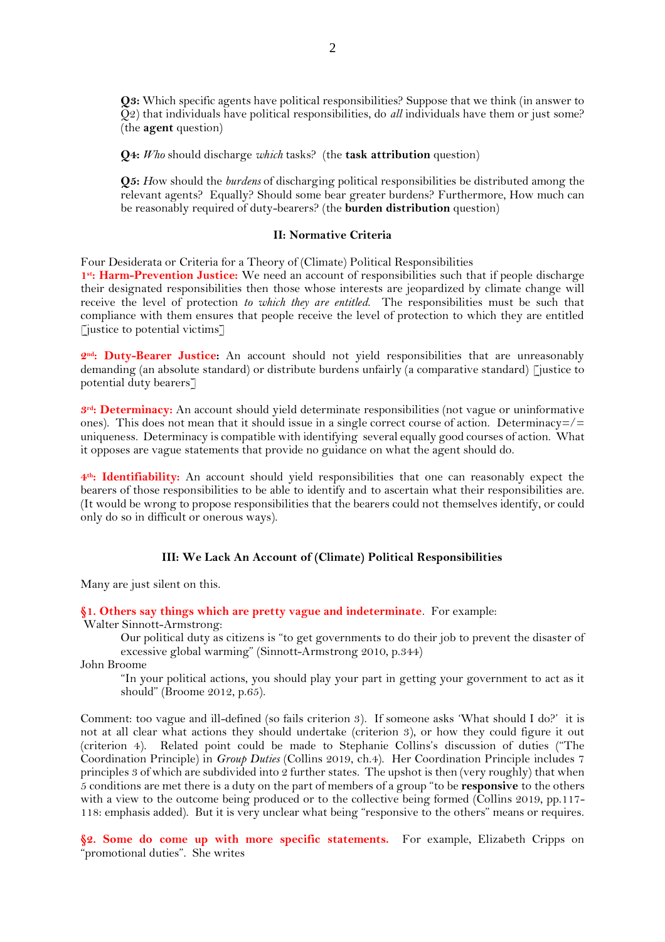**Q3:** Which specific agents have political responsibilities? Suppose that we think (in answer to Q2) that individuals have political responsibilities, do *all* individuals have them or just some? (the **agent** question)

**Q4:** *Who* should discharge *which* tasks? (the **task attribution** question)

**Q5:** *H*ow should the *burdens* of discharging political responsibilities be distributed among the relevant agents? Equally? Should some bear greater burdens? Furthermore, How much can be reasonably required of duty-bearers? (the **burden distribution** question)

#### **II: Normative Criteria**

Four Desiderata or Criteria for a Theory of (Climate) Political Responsibilities

1<sup>st</sup>: Harm-Prevention Justice: We need an account of responsibilities such that if people discharge their designated responsibilities then those whose interests are jeopardized by climate change will receive the level of protection *to which they are entitled*. The responsibilities must be such that compliance with them ensures that people receive the level of protection to which they are entitled  $\lceil$  justice to potential victims $\lceil$ 

2<sup>nd</sup>: Duty-Bearer Justice: An account should not yield responsibilities that are unreasonably demanding (an absolute standard) or distribute burdens unfairly (a comparative standard) [justice to potential duty bearers]

**3 rd: Determinacy:** An account should yield determinate responsibilities (not vague or uninformative ones). This does not mean that it should issue in a single correct course of action. Determinacy= $/$ = uniqueness. Determinacy is compatible with identifying several equally good courses of action. What it opposes are vague statements that provide no guidance on what the agent should do.

**4 th: Identifiability:** An account should yield responsibilities that one can reasonably expect the bearers of those responsibilities to be able to identify and to ascertain what their responsibilities are. (It would be wrong to propose responsibilities that the bearers could not themselves identify, or could only do so in difficult or onerous ways).

#### **III: We Lack An Account of (Climate) Political Responsibilities**

Many are just silent on this.

**§1. Others say things which are pretty vague and indeterminate**. For example:

Walter Sinnott-Armstrong:

Our political duty as citizens is "to get governments to do their job to prevent the disaster of excessive global warming" (Sinnott-Armstrong 2010, p.344)

John Broome

"In your political actions, you should play your part in getting your government to act as it should" (Broome 2012, p.65).

Comment: too vague and ill-defined (so fails criterion 3). If someone asks 'What should I do?' it is not at all clear what actions they should undertake (criterion 3), or how they could figure it out (criterion 4). Related point could be made to Stephanie Collins's discussion of duties ("The Coordination Principle) in *Group Duties* (Collins 2019, ch.4). Her Coordination Principle includes 7 principles 3 of which are subdivided into 2 further states. The upshot is then (very roughly) that when 5 conditions are met there is a duty on the part of members of a group "to be **responsive** to the others with a view to the outcome being produced or to the collective being formed (Collins 2019, pp.117-118: emphasis added). But it is very unclear what being "responsive to the others" means or requires.

**§2. Some do come up with more specific statements.** For example, Elizabeth Cripps on "promotional duties". She writes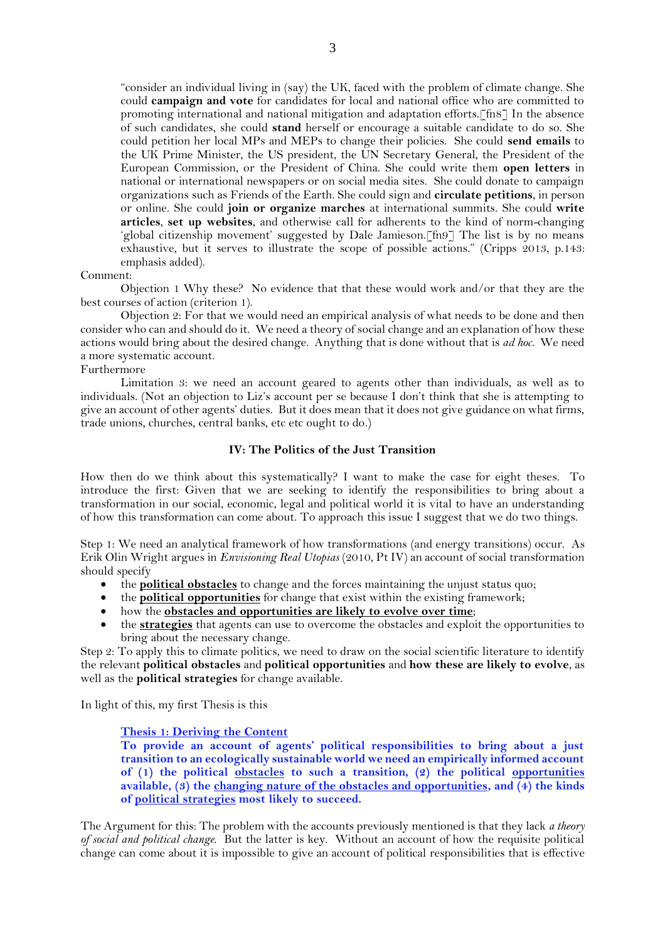"consider an individual living in (say) the UK, faced with the problem of climate change. She could **campaign and vote** for candidates for local and national office who are committed to promoting international and national mitigation and adaptation efforts.[fn8] In the absence of such candidates, she could **stand** herself or encourage a suitable candidate to do so. She could petition her local MPs and MEPs to change their policies. She could **send emails** to the UK Prime Minister, the US president, the UN Secretary General, the President of the European Commission, or the President of China. She could write them **open letters** in national or international newspapers or on social media sites. She could donate to campaign organizations such as Friends of the Earth. She could sign and **circulate petitions**, in person or online. She could **join or organize marches** at international summits. She could **write articles**, **set up websites**, and otherwise call for adherents to the kind of norm-changing 'global citizenship movement' suggested by Dale Jamieson.[fn9] The list is by no means exhaustive, but it serves to illustrate the scope of possible actions." (Cripps 2013, p.143: emphasis added).

#### Comment:

Objection 1 Why these? No evidence that that these would work and/or that they are the best courses of action (criterion 1).

Objection 2: For that we would need an empirical analysis of what needs to be done and then consider who can and should do it. We need a theory of social change and an explanation of how these actions would bring about the desired change. Anything that is done without that is *ad hoc*. We need a more systematic account.

#### Furthermore

Limitation 3: we need an account geared to agents other than individuals, as well as to individuals. (Not an objection to Liz's account per se because I don't think that she is attempting to give an account of other agents' duties. But it does mean that it does not give guidance on what firms, trade unions, churches, central banks, etc etc ought to do.)

# **IV: The Politics of the Just Transition**

How then do we think about this systematically? I want to make the case for eight theses. To introduce the first: Given that we are seeking to identify the responsibilities to bring about a transformation in our social, economic, legal and political world it is vital to have an understanding of how this transformation can come about. To approach this issue I suggest that we do two things.

Step 1: We need an analytical framework of how transformations (and energy transitions) occur. As Erik Olin Wright argues in *Envisioning Real Utopias* (2010, Pt IV) an account of social transformation should specify

- the **political obstacles** to change and the forces maintaining the unjust status quo;
- the **political opportunities** for change that exist within the existing framework;
- how the **obstacles and opportunities are likely to evolve over time**;
- the **strategies** that agents can use to overcome the obstacles and exploit the opportunities to bring about the necessary change.

Step 2: To apply this to climate politics, we need to draw on the social scientific literature to identify the relevant **political obstacles** and **political opportunities** and **how these are likely to evolve**, as well as the **political strategies** for change available.

In light of this, my first Thesis is this

#### **Thesis 1: Deriving the Content**

**To provide an account of agents' political responsibilities to bring about a just transition to an ecologically sustainable world we need an empirically informed account of (1) the political obstacles to such a transition, (2) the political opportunities available, (3) the changing nature of the obstacles and opportunities, and (4) the kinds of political strategies most likely to succeed.**

The Argument for this: The problem with the accounts previously mentioned is that they lack *a theory of social and political change*. But the latter is key. Without an account of how the requisite political change can come about it is impossible to give an account of political responsibilities that is effective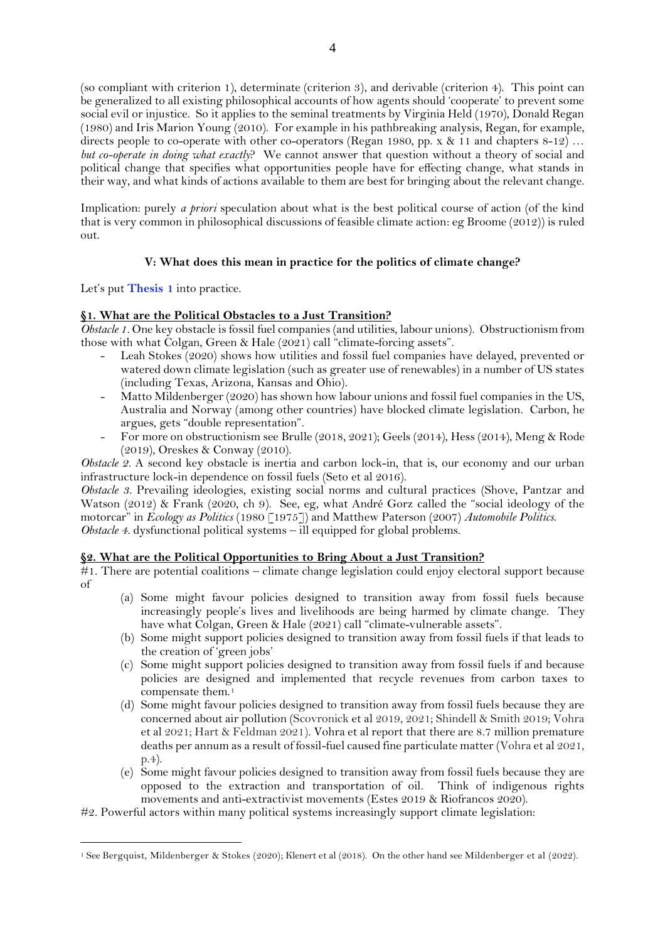(so compliant with criterion 1), determinate (criterion 3), and derivable (criterion 4). This point can be generalized to all existing philosophical accounts of how agents should 'cooperate' to prevent some social evil or injustice. So it applies to the seminal treatments by Virginia Held (1970), Donald Regan (1980) and Iris Marion Young (2010). For example in his pathbreaking analysis, Regan, for example, directs people to co-operate with other co-operators (Regan 1980, pp. x & 11 and chapters 8-12) ... *but co-operate in doing what exactly*? We cannot answer that question without a theory of social and political change that specifies what opportunities people have for effecting change, what stands in their way, and what kinds of actions available to them are best for bringing about the relevant change.

Implication: purely *a priori* speculation about what is the best political course of action (of the kind that is very common in philosophical discussions of feasible climate action: eg Broome (2012)) is ruled out.

# **V: What does this mean in practice for the politics of climate change?**

Let's put **Thesis 1** into practice.

# **§1. What are the Political Obstacles to a Just Transition?**

*Obstacle 1.* One key obstacle is fossil fuel companies (and utilities, labour unions). Obstructionism from those with what Colgan, Green & Hale (2021) call "climate-forcing assets".

- Leah Stokes (2020) shows how utilities and fossil fuel companies have delayed, prevented or watered down climate legislation (such as greater use of renewables) in a number of US states (including Texas, Arizona, Kansas and Ohio).
- Matto Mildenberger (2020) has shown how labour unions and fossil fuel companies in the US, Australia and Norway (among other countries) have blocked climate legislation. Carbon, he argues, gets "double representation".
- For more on obstructionism see Brulle (2018, 2021); Geels (2014), Hess (2014), Meng & Rode (2019), Oreskes & Conway (2010).

*Obstacle 2.* A second key obstacle is inertia and carbon lock-in, that is, our economy and our urban infrastructure lock-in dependence on fossil fuels (Seto et al 2016).

*Obstacle 3.* Prevailing ideologies, existing social norms and cultural practices (Shove, Pantzar and Watson (2012) & Frank (2020, ch 9). See, eg, what André Gorz called the "social ideology of the motorcar" in *Ecology as Politics* (1980 [1975]) and Matthew Paterson (2007) *Automobile Politics*. *Obstacle 4.* dysfunctional political systems – ill equipped for global problems.

# **§2. What are the Political Opportunities to Bring About a Just Transition?**

 $#1$ . There are potential coalitions – climate change legislation could enjoy electoral support because of

- (a) Some might favour policies designed to transition away from fossil fuels because increasingly people's lives and livelihoods are being harmed by climate change. They have what Colgan, Green & Hale (2021) call "climate-vulnerable assets".
- (b) Some might support policies designed to transition away from fossil fuels if that leads to the creation of 'green jobs'
- (c) Some might support policies designed to transition away from fossil fuels if and because policies are designed and implemented that recycle revenues from carbon taxes to compensate them.<sup>1</sup>
- (d) Some might favour policies designed to transition away from fossil fuels because they are concerned about air pollution (Scovronick et al 2019, 2021; Shindell & Smith 2019; Vohra et al 2021; Hart & Feldman 2021). Vohra et al report that there are 8.7 million premature deaths per annum as a result of fossil-fuel caused fine particulate matter (Vohra et al 2021, p.4).
- (e) Some might favour policies designed to transition away from fossil fuels because they are opposed to the extraction and transportation of oil. Think of indigenous rights movements and anti-extractivist movements (Estes 2019 & Riofrancos 2020).

#2. Powerful actors within many political systems increasingly support climate legislation:

<sup>1</sup> See Bergquist, Mildenberger & Stokes (2020); Klenert et al (2018). On the other hand see Mildenberger et al (2022).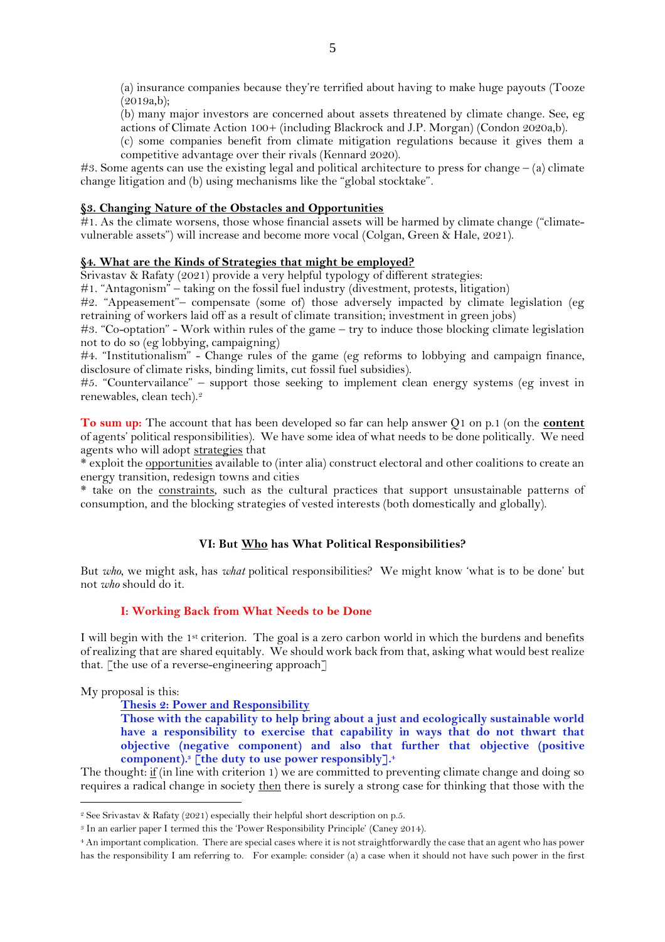(a) insurance companies because they're terrified about having to make huge payouts (Tooze (2019a,b);

(b) many major investors are concerned about assets threatened by climate change. See, eg actions of Climate Action 100+ (including Blackrock and J.P. Morgan) (Condon 2020a,b).

(c) some companies benefit from climate mitigation regulations because it gives them a competitive advantage over their rivals (Kennard 2020).

#3. Some agents can use the existing legal and political architecture to press for change  $-$  (a) climate change litigation and (b) using mechanisms like the "global stocktake".

#### **§3. Changing Nature of the Obstacles and Opportunities**

 $#1$ . As the climate worsens, those whose financial assets will be harmed by climate change ("climatevulnerable assets") will increase and become more vocal (Colgan, Green & Hale, 2021).

## **§4. What are the Kinds of Strategies that might be employed?**

Srivastav & Rafaty (2021) provide a very helpful typology of different strategies:

#1. "Antagonism" – taking on the fossil fuel industry (divestment, protests, litigation)

#2. "Appeasement"– compensate (some of) those adversely impacted by climate legislation (eg retraining of workers laid off as a result of climate transition; investment in green jobs)

#3. "Co-optation" - Work within rules of the game – try to induce those blocking climate legislation not to do so (eg lobbying, campaigning)

#4. "Institutionalism" - Change rules of the game (eg reforms to lobbying and campaign finance, disclosure of climate risks, binding limits, cut fossil fuel subsidies).

#5. "Countervailance" – support those seeking to implement clean energy systems (eg invest in renewables, clean tech). 2

**To sum up:** The account that has been developed so far can help answer Q1 on p.1 (on the **content** of agents' political responsibilities). We have some idea of what needs to be done politically. We need agents who will adopt strategies that

\* exploit the opportunities available to (inter alia) construct electoral and other coalitions to create an energy transition, redesign towns and cities

\* take on the constraints, such as the cultural practices that support unsustainable patterns of consumption, and the blocking strategies of vested interests (both domestically and globally).

# **VI: But Who has What Political Responsibilities?**

But *who*, we might ask, has *what* political responsibilities? We might know 'what is to be done' but not *who* should do it.

## **I: Working Back from What Needs to be Done**

I will begin with the 1st criterion. The goal is a zero carbon world in which the burdens and benefits of realizing that are shared equitably. We should work back from that, asking what would best realize that. [the use of a reverse-engineering approach]

My proposal is this:

**Thesis 2: Power and Responsibility**

**Those with the capability to help bring about a just and ecologically sustainable world have a responsibility to exercise that capability in ways that do not thwart that objective (negative component) and also that further that objective (positive component). <sup>3</sup> [the duty to use power responsibly]. 4**

The thought: if (in line with criterion 1) we are committed to preventing climate change and doing so requires a radical change in society then there is surely a strong case for thinking that those with the

<sup>2</sup> See Srivastav & Rafaty (2021) especially their helpful short description on p.5.

<sup>3</sup> In an earlier paper I termed this the 'Power Responsibility Principle' (Caney 2014).

<sup>4</sup> An important complication. There are special cases where it is not straightforwardly the case that an agent who has power has the responsibility I am referring to. For example: consider (a) a case when it should not have such power in the first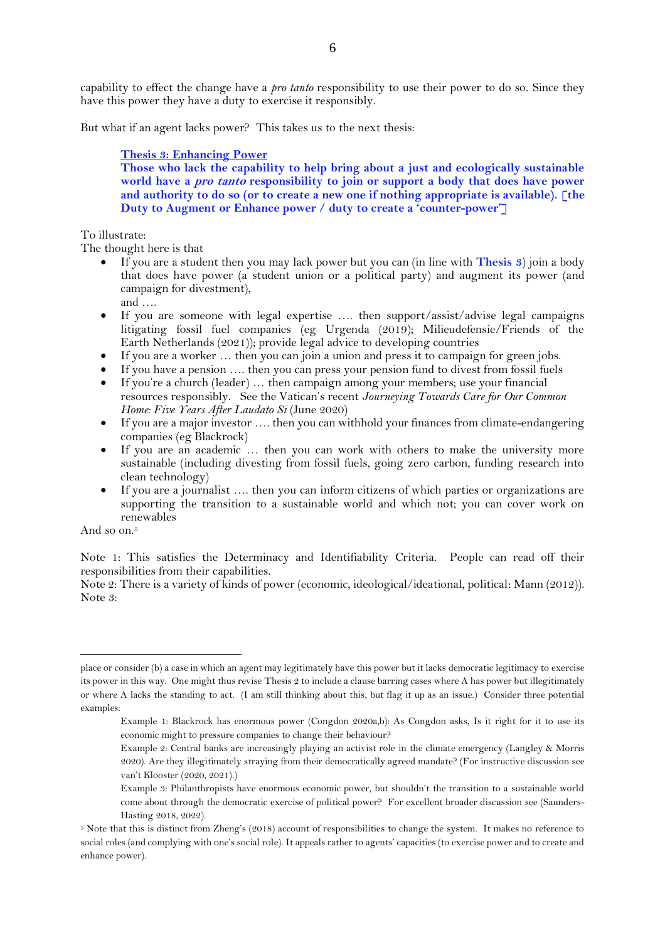capability to effect the change have a *pro tanto* responsibility to use their power to do so. Since they have this power they have a duty to exercise it responsibly.

But what if an agent lacks power? This takes us to the next thesis:

#### **Thesis 3: Enhancing Power**

**Those who lack the capability to help bring about a just and ecologically sustainable world have a pro tanto responsibility to join or support a body that does have power and authority to do so (or to create a new one if nothing appropriate is available). [the Duty to Augment or Enhance power / duty to create a 'counter-power']**

### To illustrate:

The thought here is that

- If you are a student then you may lack power but you can (in line with **Thesis 3**) join a body that does have power (a student union or a political party) and augment its power (and campaign for divestment),
	- and ….
- If you are someone with legal expertise .... then support/assist/advise legal campaigns litigating fossil fuel companies (eg Urgenda (2019); Milieudefensie/Friends of the Earth Netherlands (2021)); provide legal advice to developing countries
- If you are a worker ... then you can join a union and press it to campaign for green jobs.
- If you have a pension …. then you can press your pension fund to divest from fossil fuels
- If you're a church (leader) … then campaign among your members; use your financial resources responsibly. See the Vatican's recent *Journeying Towards Care for Our Common Home: Five Years After Laudato Si* (June 2020)
- If you are a major investor .... then you can withhold your finances from climate-endangering companies (eg Blackrock)
- If you are an academic … then you can work with others to make the university more sustainable (including divesting from fossil fuels, going zero carbon, funding research into clean technology)
- If you are a journalist …. then you can inform citizens of which parties or organizations are supporting the transition to a sustainable world and which not; you can cover work on renewables

And so on. 5

Note 1: This satisfies the Determinacy and Identifiability Criteria. People can read off their responsibilities from their capabilities.

Note 2: There is a variety of kinds of power (economic, ideological/ideational, political: Mann (2012)). Note 3:

place or consider (b) a case in which an agent may legitimately have this power but it lacks democratic legitimacy to exercise its power in this way. One might thus revise Thesis 2 to include a clause barring cases where A has power but illegitimately or where A lacks the standing to act. (I am still thinking about this, but flag it up as an issue.) Consider three potential examples:

Example 1: Blackrock has enormous power (Congdon 2020a,b): As Congdon asks, Is it right for it to use its economic might to pressure companies to change their behaviour?

Example 2: Central banks are increasingly playing an activist role in the climate emergency (Langley & Morris 2020). Are they illegitimately straying from their democratically agreed mandate? (For instructive discussion see van't Klooster (2020, 2021).)

Example 3: Philanthropists have enormous economic power, but shouldn't the transition to a sustainable world come about through the democratic exercise of political power? For excellent broader discussion see (Saunders-Hasting 2018, 2022).

<sup>5</sup> Note that this is distinct from Zheng's (2018) account of responsibilities to change the system. It makes no reference to social roles (and complying with one's social role). It appeals rather to agents' capacities (to exercise power and to create and enhance power).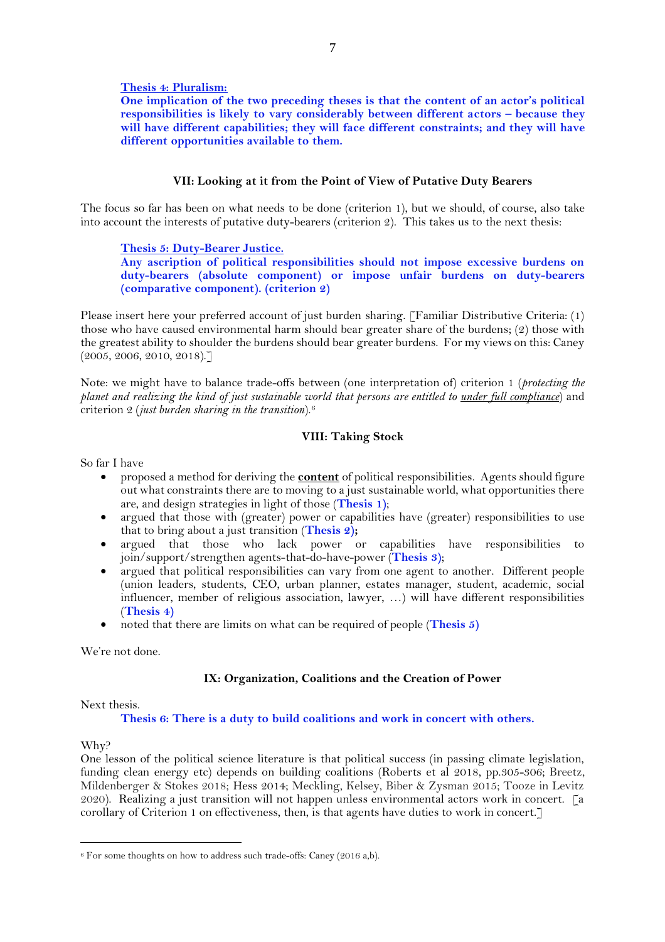#### **Thesis 4: Pluralism:**

**One implication of the two preceding theses is that the content of an actor's political responsibilities is likely to vary considerably between different actors – because they will have different capabilities; they will face different constraints; and they will have different opportunities available to them.**

### **VII: Looking at it from the Point of View of Putative Duty Bearers**

The focus so far has been on what needs to be done (criterion 1), but we should, of course, also take into account the interests of putative duty-bearers (criterion 2). This takes us to the next thesis:

#### **Thesis 5: Duty-Bearer Justice.**

**Any ascription of political responsibilities should not impose excessive burdens on duty-bearers (absolute component) or impose unfair burdens on duty-bearers (comparative component). (criterion 2)**

Please insert here your preferred account of just burden sharing. [Familiar Distributive Criteria: (1) those who have caused environmental harm should bear greater share of the burdens; (2) those with the greatest ability to shoulder the burdens should bear greater burdens. For my views on this: Caney (2005, 2006, 2010, 2018).]

Note: we might have to balance trade-offs between (one interpretation of) criterion 1 (*protecting the planet and realizing the kind of just sustainable world that persons are entitled to under full compliance*) and criterion 2 (*just burden sharing in the transition*).<sup>6</sup>

# **VIII: Taking Stock**

So far I have

- proposed a method for deriving the **content** of political responsibilities. Agents should figure out what constraints there are to moving to a just sustainable world, what opportunities there are, and design strategies in light of those (**Thesis 1)**;
- argued that those with (greater) power or capabilities have (greater) responsibilities to use that to bring about a just transition (**Thesis 2);**
- argued that those who lack power or capabilities have responsibilities to join/support/strengthen agents-that-do-have-power (**Thesis 3)**;
- argued that political responsibilities can vary from one agent to another. Different people (union leaders, students, CEO, urban planner, estates manager, student, academic, social influencer, member of religious association, lawyer, …) will have different responsibilities (**Thesis 4)**
- noted that there are limits on what can be required of people (**Thesis 5)**

We're not done.

## **IX: Organization, Coalitions and the Creation of Power**

Next thesis.

#### **Thesis 6: There is a duty to build coalitions and work in concert with others.**

Why?

One lesson of the political science literature is that political success (in passing climate legislation, funding clean energy etc) depends on building coalitions (Roberts et al 2018, pp.305-306; Breetz, Mildenberger & Stokes 2018; Hess 2014; Meckling, Kelsey, Biber & Zysman 2015; Tooze in Levitz 2020). Realizing a just transition will not happen unless environmental actors work in concert. [a corollary of Criterion 1 on effectiveness, then, is that agents have duties to work in concert.]

<sup>&</sup>lt;sup>6</sup> For some thoughts on how to address such trade-offs: Caney (2016 a,b).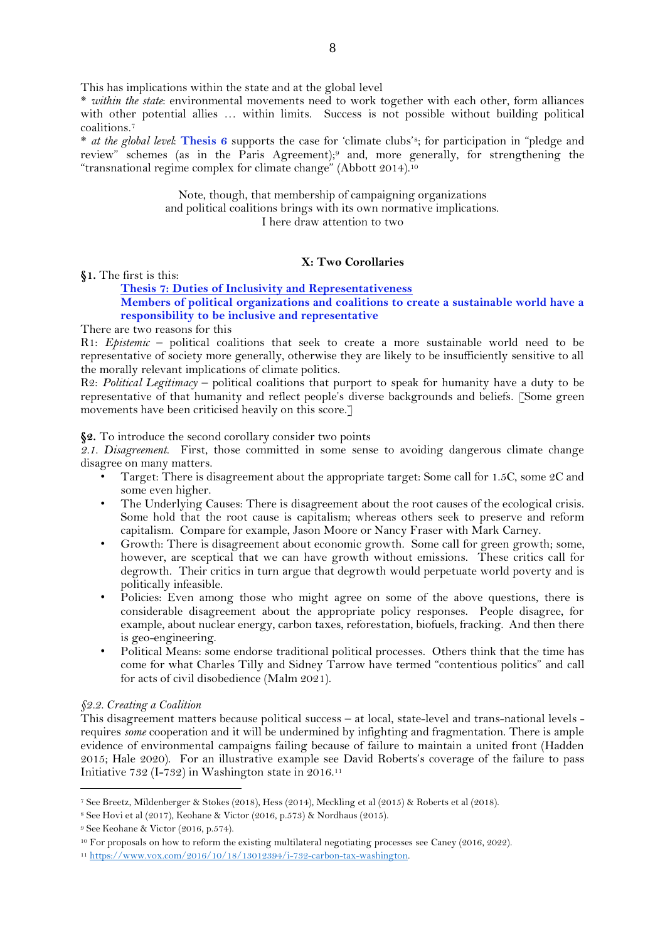This has implications within the state and at the global level

\* *within the state*: environmental movements need to work together with each other, form alliances with other potential allies … within limits. Success is not possible without building political coalitions. 7

\* *at the global level*: **Thesis 6** supports the case for 'climate clubs'8; for participation in "pledge and review" schemes (as in the Paris Agreement);<sup>9</sup> and, more generally, for strengthening the "transnational regime complex for climate change" (Abbott 2014). 10

> Note, though, that membership of campaigning organizations and political coalitions brings with its own normative implications. I here draw attention to two

## **X: Two Corollaries**

**§1.** The first is this:

# **Thesis 7: Duties of Inclusivity and Representativeness Members of political organizations and coalitions to create a sustainable world have a responsibility to be inclusive and representative**

There are two reasons for this

R1: *Epistemic* – political coalitions that seek to create a more sustainable world need to be representative of society more generally, otherwise they are likely to be insufficiently sensitive to all the morally relevant implications of climate politics.

R2: *Political Legitimacy* – political coalitions that purport to speak for humanity have a duty to be representative of that humanity and reflect people's diverse backgrounds and beliefs. [Some green movements have been criticised heavily on this score.]

**§2.** To introduce the second corollary consider two points

*2.1. Disagreement.* First, those committed in some sense to avoiding dangerous climate change disagree on many matters.

- Target: There is disagreement about the appropriate target: Some call for 1.5C, some 2C and some even higher.
- The Underlying Causes: There is disagreement about the root causes of the ecological crisis. Some hold that the root cause is capitalism; whereas others seek to preserve and reform capitalism. Compare for example, Jason Moore or Nancy Fraser with Mark Carney.
- Growth: There is disagreement about economic growth. Some call for green growth; some, however, are sceptical that we can have growth without emissions. These critics call for degrowth. Their critics in turn argue that degrowth would perpetuate world poverty and is politically infeasible.
- Policies: Even among those who might agree on some of the above questions, there is considerable disagreement about the appropriate policy responses. People disagree, for example, about nuclear energy, carbon taxes, reforestation, biofuels, fracking. And then there is geo-engineering.
- Political Means: some endorse traditional political processes. Others think that the time has come for what Charles Tilly and Sidney Tarrow have termed "contentious politics" and call for acts of civil disobedience (Malm 2021).

## *§2.2. Creating a Coalition*

This disagreement matters because political success – at local, state-level and trans-national levels requires *some* cooperation and it will be undermined by infighting and fragmentation. There is ample evidence of environmental campaigns failing because of failure to maintain a united front (Hadden 2015; Hale 2020). For an illustrative example see David Roberts's coverage of the failure to pass Initiative 732 (I-732) in Washington state in 2016.<sup>11</sup>

<sup>7</sup> See Breetz, Mildenberger & Stokes (2018), Hess (2014), Meckling et al (2015) & Roberts et al (2018).

<sup>8</sup> See Hovi et al (2017), Keohane & Victor (2016, p.573) & Nordhaus (2015).

<sup>9</sup> See Keohane & Victor (2016, p.574).

<sup>10</sup> For proposals on how to reform the existing multilateral negotiating processes see Caney (2016, 2022).

<sup>11</sup> [https://www.vox.com/2016/10/18/13012394/i-732-carbon-tax-washington.](https://www.vox.com/2016/10/18/13012394/i-732-carbon-tax-washington)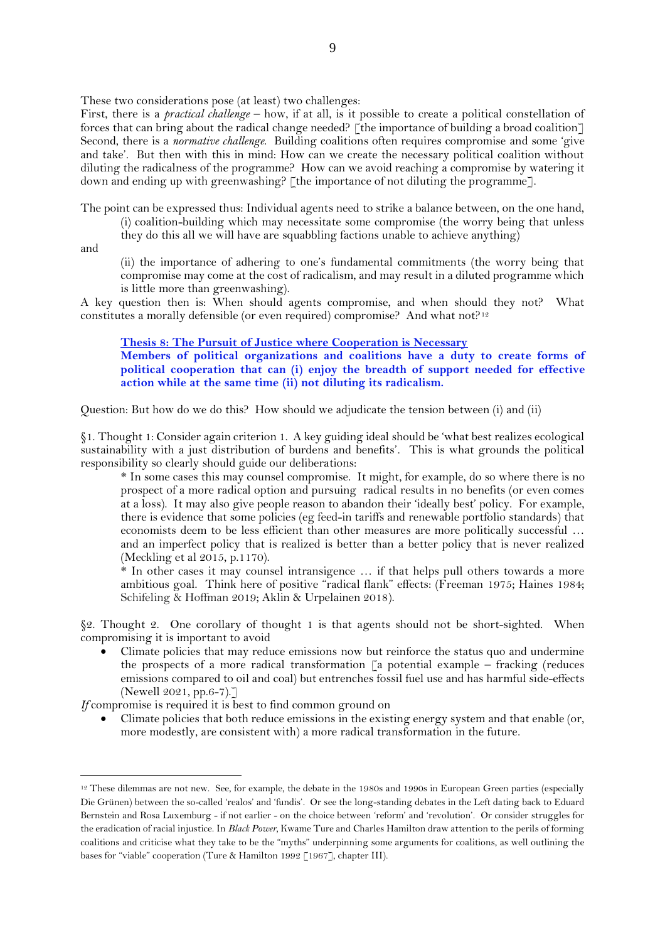These two considerations pose (at least) two challenges:

First, there is a *practical challenge* – how, if at all, is it possible to create a political constellation of forces that can bring about the radical change needed? [the importance of building a broad coalition] Second, there is a *normative challenge*. Building coalitions often requires compromise and some 'give and take'. But then with this in mind: How can we create the necessary political coalition without diluting the radicalness of the programme? How can we avoid reaching a compromise by watering it down and ending up with greenwashing? [the importance of not diluting the programme].

The point can be expressed thus: Individual agents need to strike a balance between, on the one hand,

(i) coalition-building which may necessitate some compromise (the worry being that unless

they do this all we will have are squabbling factions unable to achieve anything)

and

(ii) the importance of adhering to one's fundamental commitments (the worry being that compromise may come at the cost of radicalism, and may result in a diluted programme which is little more than greenwashing).

A key question then is: When should agents compromise, and when should they not? What constitutes a morally defensible (or even required) compromise? And what not?<sup>12</sup>

**Thesis 8: The Pursuit of Justice where Cooperation is Necessary Members of political organizations and coalitions have a duty to create forms of political cooperation that can (i) enjoy the breadth of support needed for effective action while at the same time (ii) not diluting its radicalism.**

Question: But how do we do this? How should we adjudicate the tension between (i) and (ii)

§1. Thought 1: Consider again criterion 1. A key guiding ideal should be 'what best realizes ecological sustainability with a just distribution of burdens and benefits'. This is what grounds the political responsibility so clearly should guide our deliberations:

\* In some cases this may counsel compromise. It might, for example, do so where there is no prospect of a more radical option and pursuing radical results in no benefits (or even comes at a loss). It may also give people reason to abandon their 'ideally best' policy. For example, there is evidence that some policies (eg feed-in tariffs and renewable portfolio standards) that economists deem to be less efficient than other measures are more politically successful … and an imperfect policy that is realized is better than a better policy that is never realized (Meckling et al 2015, p.1170).

\* In other cases it may counsel intransigence … if that helps pull others towards a more ambitious goal. Think here of positive "radical flank" effects: (Freeman 1975; Haines 1984; Schifeling & Hoffman 2019; Aklin & Urpelainen 2018).

§2. Thought 2. One corollary of thought 1 is that agents should not be short-sighted. When compromising it is important to avoid

• Climate policies that may reduce emissions now but reinforce the status quo and undermine the prospects of a more radical transformation  $\lceil a \rceil$  potential example – fracking (reduces emissions compared to oil and coal) but entrenches fossil fuel use and has harmful side-effects (Newell 2021, pp.6-7).]

*If* compromise is required it is best to find common ground on

• Climate policies that both reduce emissions in the existing energy system and that enable (or, more modestly, are consistent with) a more radical transformation in the future.

<sup>&</sup>lt;sup>12</sup> These dilemmas are not new. See, for example, the debate in the 1980s and 1990s in European Green parties (especially Die Grünen) between the so-called 'realos' and 'fundis'. Or see the long-standing debates in the Left dating back to Eduard Bernstein and Rosa Luxemburg - if not earlier - on the choice between 'reform' and 'revolution'. Or consider struggles for the eradication of racial injustice. In *Black Power,* Kwame Ture and Charles Hamilton draw attention to the perils of forming coalitions and criticise what they take to be the "myths" underpinning some arguments for coalitions, as well outlining the bases for "viable" cooperation (Ture & Hamilton 1992 [1967], chapter III).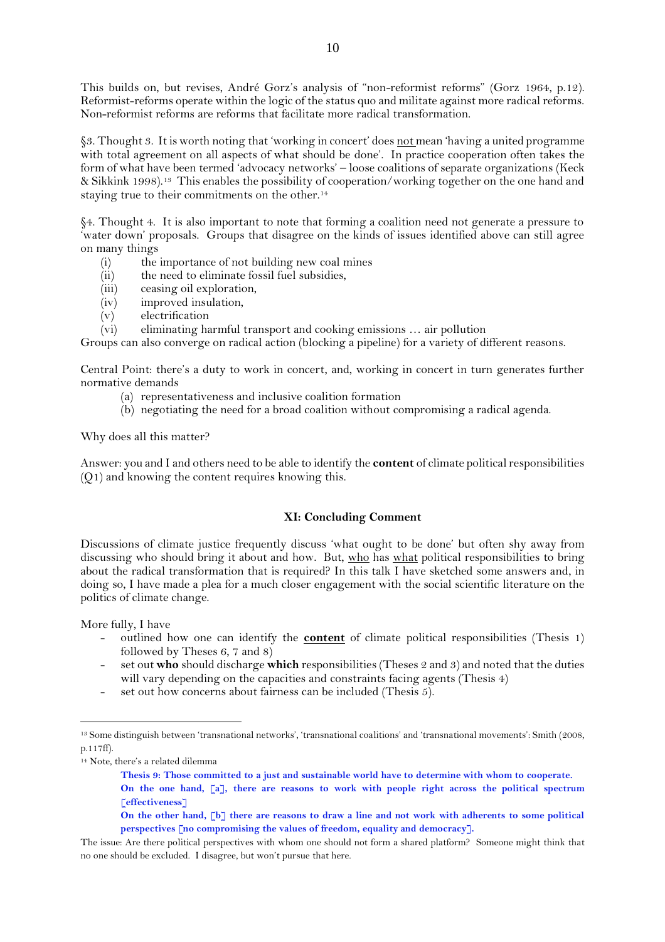This builds on, but revises, André Gorz's analysis of "non-reformist reforms" (Gorz 1964, p.12). Reformist-reforms operate within the logic of the status quo and militate against more radical reforms. Non-reformist reforms are reforms that facilitate more radical transformation.

§3. Thought 3. It is worth noting that 'working in concert' does not mean 'having a united programme with total agreement on all aspects of what should be done'. In practice cooperation often takes the form of what have been termed 'advocacy networks' – loose coalitions of separate organizations (Keck & Sikkink 1998). <sup>13</sup> This enables the possibility of cooperation/working together on the one hand and staying true to their commitments on the other.<sup>14</sup>

§4. Thought 4. It is also important to note that forming a coalition need not generate a pressure to 'water down' proposals. Groups that disagree on the kinds of issues identified above can still agree on many things

- (i) the importance of not building new coal mines
- (ii) the need to eliminate fossil fuel subsidies,
- (iii) ceasing oil exploration,
- (iv) improved insulation,
- $(v)$  electrification
- (vi) eliminating harmful transport and cooking emissions … air pollution

Groups can also converge on radical action (blocking a pipeline) for a variety of different reasons.

Central Point: there's a duty to work in concert, and, working in concert in turn generates further normative demands

- (a) representativeness and inclusive coalition formation
- (b) negotiating the need for a broad coalition without compromising a radical agenda.

Why does all this matter?

Answer: you and I and others need to be able to identify the **content** of climate political responsibilities (Q1) and knowing the content requires knowing this.

# **XI: Concluding Comment**

Discussions of climate justice frequently discuss 'what ought to be done' but often shy away from discussing who should bring it about and how. But, who has what political responsibilities to bring about the radical transformation that is required? In this talk I have sketched some answers and, in doing so, I have made a plea for a much closer engagement with the social scientific literature on the politics of climate change.

More fully, I have

- outlined how one can identify the **content** of climate political responsibilities (Thesis 1) followed by Theses 6, 7 and 8)
- set out **who** should discharge **which** responsibilities (Theses 2 and 3) and noted that the duties will vary depending on the capacities and constraints facing agents (Thesis 4)
- set out how concerns about fairness can be included (Thesis  $5$ ).

<sup>13</sup> Some distinguish between 'transnational networks', 'transnational coalitions' and 'transnational movements': Smith (2008, p.117ff).

<sup>14</sup> Note, there's a related dilemma

**Thesis 9: Those committed to a just and sustainable world have to determine with whom to cooperate. On the one hand, [a], there are reasons to work with people right across the political spectrum [effectiveness]**

**On the other hand, [b] there are reasons to draw a line and not work with adherents to some political perspectives [no compromising the values of freedom, equality and democracy].**

The issue: Are there political perspectives with whom one should not form a shared platform? Someone might think that no one should be excluded. I disagree, but won't pursue that here.